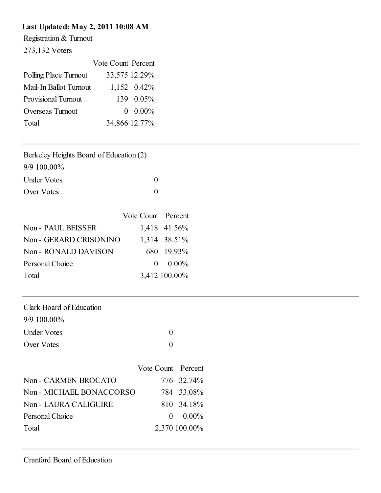### Last Updated: May 2, 2011 10:08 AM

Registration & Turnout

273,132 Voters

|                            | Vote Count Percent |               |
|----------------------------|--------------------|---------------|
| Polling Place Turnout      |                    | 33,575 12.29% |
| Mail-In Ballot Turnout     |                    | 1,152 0.42%   |
| <b>Provisional Turnout</b> |                    | 139 0.05%     |
| Overseas Turnout           | $\Omega$           | $0.00\%$      |
| Total                      |                    | 34,866 12.77% |

| Berkeley Heights Board of Education (2) |
|-----------------------------------------|
| 9/9 100.00%                             |

| <b>Under Votes</b> |  |
|--------------------|--|
| Over Votes         |  |

|                        | Vote Count Percent |               |
|------------------------|--------------------|---------------|
| Non - PAUL BEISSER     |                    | 1,418 41.56%  |
| Non - GERARD CRISONINO |                    | 1,314 38.51%  |
| Non - RONALD DAVISON   |                    | 680 19.93%    |
| Personal Choice        |                    | $0.00\%$      |
| Total                  |                    | 3,412 100.00% |

| Clark Board of Education |  |
|--------------------------|--|
| $9/9$ 100.00%            |  |
| <b>Under Votes</b>       |  |
| Over Votes               |  |

|                          | Vote Count Percent |               |
|--------------------------|--------------------|---------------|
| Non - CARMEN BROCATO     |                    | 776 32.74%    |
| Non - MICHAEL BONACCORSO |                    | 784 33.08%    |
| Non - LAURA CALIGUIRE    |                    | 810 34.18%    |
| Personal Choice          |                    | $0.00\%$      |
| Total                    |                    | 2,370 100.00% |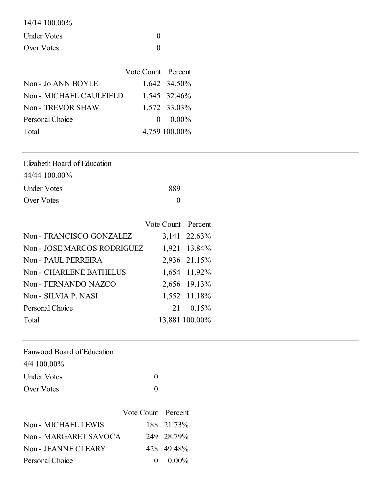| 14/14 100.00% |  |
|---------------|--|
| Under Votes   |  |
| Over Votes    |  |

|                         | Vote Count Percent |                  |
|-------------------------|--------------------|------------------|
| Non - Jo ANN BOYLE      |                    | 1,642 34.50%     |
| Non - MICHAEL CAULFIELD |                    | 1,545 32.46%     |
| Non - TREVOR SHAW       |                    | 1,572 33.03%     |
| Personal Choice         |                    | $0 \quad 0.00\%$ |
| Total                   |                    | 4,759 100.00%    |

| Elizabeth Board of Education |     |
|------------------------------|-----|
| 44/44 100.00%                |     |
| <b>Under Votes</b>           | 889 |
| Over Votes                   |     |

|                             | Vote Count Percent |                   |
|-----------------------------|--------------------|-------------------|
| Non - FRANCISCO GONZALEZ    |                    | 3,141 22.63%      |
| Non - JOSE MARCOS RODRIGUEZ |                    | 1,921 13.84%      |
| Non - PAUL PERREIRA         |                    | 2,936 21.15%      |
| Non - CHARLENE BATHELUS     |                    | 1,654 11.92%      |
| Non - FERNANDO NAZCO        |                    | 2,656 19.13%      |
| Non - SILVIA P. NASI        |                    | 1,552 11.18%      |
| Personal Choice             |                    | $21 \quad 0.15\%$ |
| Total                       |                    | 13,881 100.00%    |
|                             |                    |                   |

| Fanwood Board of Education |          |
|----------------------------|----------|
| $4/4$ 100.00%              |          |
| <b>Under Votes</b>         | $\Omega$ |
| Over Votes                 |          |

|                       | Vote Count Percent |            |
|-----------------------|--------------------|------------|
| Non - MICHAEL LEWIS   |                    | 188 21.73% |
| Non - MARGARET SAVOCA |                    | 249 28.79% |
| Non - JEANNE CLEARY   |                    | 428 49.48% |
| Personal Choice       | $\Omega$           | $0.00\%$   |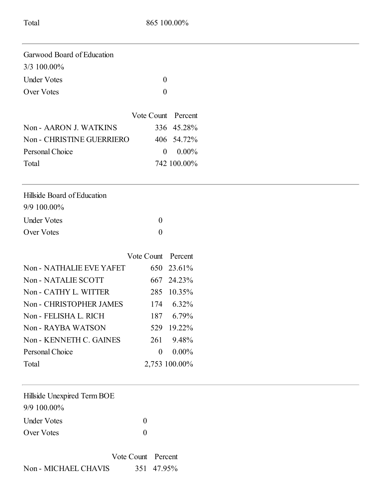| Garwood Board of Education  |                  |                            |  |
|-----------------------------|------------------|----------------------------|--|
| 3/3 100.00%                 |                  |                            |  |
| <b>Under Votes</b>          |                  | $\boldsymbol{0}$           |  |
| <b>Over Votes</b>           |                  | $\boldsymbol{0}$           |  |
|                             | Vote Count       | Percent                    |  |
| Non - AARON J. WATKINS      | 336              | 45.28%                     |  |
| Non - CHRISTINE GUERRIERO   | 406              | 54.72%                     |  |
| Personal Choice             |                  | $0.00\%$<br>$\overline{0}$ |  |
| Total                       |                  | 742 100.00%                |  |
| Hillside Board of Education |                  |                            |  |
| 9/9 100.00%                 |                  |                            |  |
| <b>Under Votes</b>          | $\boldsymbol{0}$ |                            |  |
| <b>Over Votes</b>           | $\mathbf{0}$     |                            |  |
|                             | Vote Count       | Percent                    |  |
| Non - NATHALIE EVE YAFET    | 650              | 23.61%                     |  |
| Non - NATALIE SCOTT         | 667              | 24.23%                     |  |
| Non - CATHY L. WITTER       | 285              | 10.35%                     |  |
| Non - CHRISTOPHER JAMES     | 174              | 6.32%                      |  |
| Non - FELISHA L. RICH       | 187              | 6.79%                      |  |
| Non - RAYBA WATSON          | 529              | 19.22%                     |  |
| Non - KENNETH C. GAINES     | 261              | 9.48%                      |  |
| Personal Choice             | $\boldsymbol{0}$ | $0.00\%$                   |  |
| Total                       |                  | 2,753 100.00%              |  |
| Hillside Unexpired Term BOE |                  |                            |  |
| 9/9 100.00%                 |                  |                            |  |
| <b>Under Votes</b>          | $\boldsymbol{0}$ |                            |  |
| Over Votes                  | $\boldsymbol{0}$ |                            |  |
| Vote Count                  | Percent          |                            |  |
| Non - MICHAEL CHAVIS        | 351              | 47.95%                     |  |
|                             |                  |                            |  |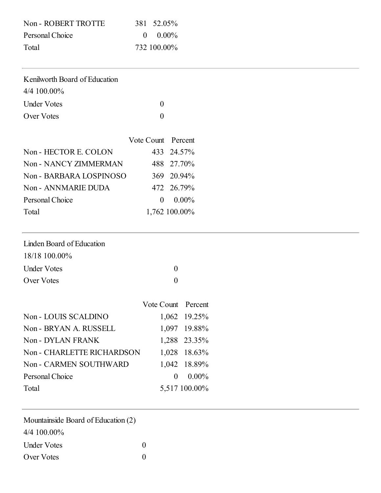| Non - ROBERT TROTTE | 381 52.05%  |
|---------------------|-------------|
| Personal Choice     | $0.00\%$    |
| Total               | 732 100.00% |

| Kenilworth Board of Education |  |
|-------------------------------|--|
| $4/4$ 100.00%                 |  |
| <b>Under Votes</b>            |  |
| Over Votes                    |  |

|                         | Vote Count Percent |               |
|-------------------------|--------------------|---------------|
| Non - HECTOR E. COLON   |                    | 433 24.57%    |
| Non - NANCY ZIMMERMAN   |                    | 488 27.70%    |
| Non - BARBARA LOSPINOSO |                    | 369 20.94%    |
| Non - ANNMARIE DUDA     |                    | 472 26.79%    |
| Personal Choice         | $\Omega$           | $0.00\%$      |
| Total                   |                    | 1,762 100.00% |

| Linden Board of Education |              |
|---------------------------|--------------|
| 18/18 100.00%             |              |
| Under Votes               | $\mathbf{0}$ |
| Over Votes                |              |

|                            | Vote Count Percent |               |
|----------------------------|--------------------|---------------|
| Non - LOUIS SCALDINO       |                    | 1,062 19.25%  |
| Non - BRYAN A. RUSSELL     |                    | 1,097 19.88%  |
| Non - DYLAN FRANK          |                    | 1,288 23.35%  |
| Non - CHARLETTE RICHARDSON |                    | 1,028 18.63%  |
| Non - CARMEN SOUTHWARD     |                    | 1,042 18.89%  |
| Personal Choice            | $\Omega$           | $0.00\%$      |
| Total                      |                    | 5,517 100.00% |

| Mountainside Board of Education (2) |              |
|-------------------------------------|--------------|
| 4/4 100.00%                         |              |
| <b>Under Votes</b>                  | $\mathbf{0}$ |
| Over Votes                          |              |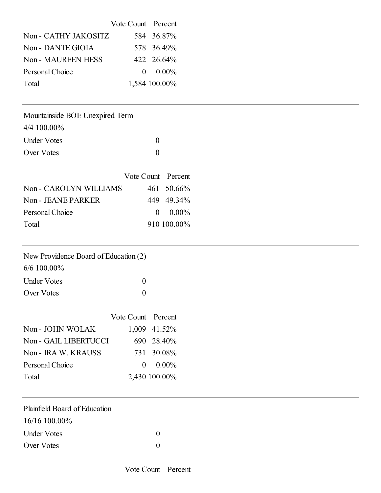|                           | Vote Count Percent |               |
|---------------------------|--------------------|---------------|
| Non - CATHY JAKOSITZ      |                    | 584 36.87%    |
| Non - DANTE GIOIA         |                    | 578 36.49%    |
| <b>Non - MAUREEN HESS</b> |                    | 422 26.64%    |
| Personal Choice           |                    | $0.00\%$      |
| Total                     |                    | 1,584 100.00% |

Mountainside BOE Unexpired Term

4/4 100.00%

| <b>Under Votes</b> |  |
|--------------------|--|
| Over Votes         |  |

|                        | Vote Count Percent |             |
|------------------------|--------------------|-------------|
| Non - CAROLYN WILLIAMS |                    | 461 50.66%  |
| Non - JEANE PARKER     |                    | 449 49.34%  |
| Personal Choice        |                    | $0.00\%$    |
| Total                  |                    | 910 100.00% |

| New Providence Board of Education (2) |
|---------------------------------------|
|---------------------------------------|

6/6 100.00%

| <b>Under Votes</b> |  |
|--------------------|--|
| Over Votes         |  |

|                       | Vote Count Percent |               |
|-----------------------|--------------------|---------------|
| Non - JOHN WOLAK      |                    | 1,009 41.52%  |
| Non - GAIL LIBERTUCCI |                    | 690 28.40%    |
| Non - IRA W. KRAUSS   |                    | 731 30.08%    |
| Personal Choice       |                    | $0.00\%$      |
| Total                 |                    | 2,430 100.00% |

| Plainfield Board of Education |                |  |  |
|-------------------------------|----------------|--|--|
| $16/16$ 100.00%               |                |  |  |
| <b>Under Votes</b>            | $\overline{0}$ |  |  |
| Over Votes                    | $\theta$       |  |  |
|                               |                |  |  |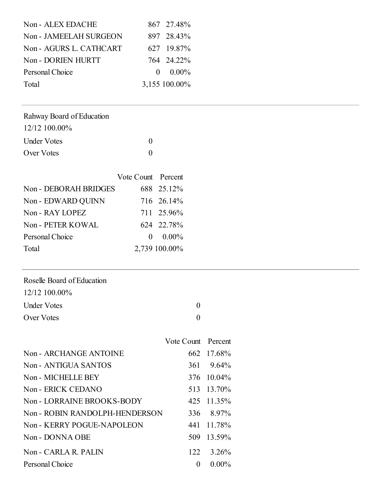| Non - ALEX EDACHE       | 867 27.48%    |
|-------------------------|---------------|
| Non - JAMEELAH SURGEON  | 897 28.43%    |
| Non - AGURS L. CATHCART | 627 19.87%    |
| Non - DORIEN HURTT      | 764 24.22%    |
| Personal Choice         | $0.00\%$      |
| Total                   | 3,155 100.00% |

### Rahway Board of Education

| 12/12 100.00%      |                   |
|--------------------|-------------------|
| <b>Under Votes</b> | $\Omega$          |
| Over Votes         | $\mathbf{\Omega}$ |

|                       | Vote Count Percent |               |
|-----------------------|--------------------|---------------|
| Non - DEBORAH BRIDGES |                    | 688 25.12%    |
| Non - EDWARD QUINN    |                    | 716 26.14%    |
| Non - RAY LOPEZ       |                    | 711 25.96%    |
| Non - PETER KOWAL     |                    | 624 22.78%    |
| Personal Choice       |                    | $0.00\%$      |
| Total                 |                    | 2,739 100.00% |

### Roselle Board of Education

| 12/12 100.00% |
|---------------|
|               |

Under Votes 0 Over Votes 0

|                                | Vote Count Percent |                    |
|--------------------------------|--------------------|--------------------|
| Non - ARCHANGE ANTOINE         |                    | 662 17.68%         |
| Non - ANTIGUA SANTOS           |                    | $361 \quad 9.64\%$ |
| Non - MICHELLE BEY             |                    | 376 10.04%         |
| Non - ERICK CEDANO             |                    | 513 13.70%         |
| Non - LORRAINE BROOKS-BODY     |                    | 425 11.35%         |
| Non - ROBIN RANDOLPH-HENDERSON |                    | 336 8.97%          |
| Non - KERRY POGUE-NAPOLEON     |                    | 441 11.78%         |
| Non - DONNA OBE                |                    | 509 13.59%         |
|                                |                    |                    |

| TV011 - INLINN I TUQUL-IVAI ULLUIV | $441$ 11.7070 |
|------------------------------------|---------------|
| Non - DONNA OBE                    | 509 13.59%    |
| Non - CARLA R. PALIN               | 122 3.26%     |

Personal Choice 0 0.00%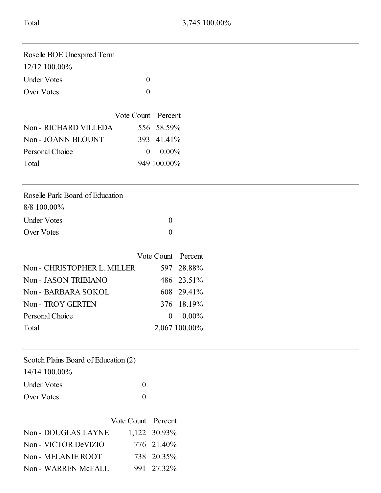| Roselle BOE Unexpired Term |              |
|----------------------------|--------------|
| $12/12$ 100.00%            |              |
| <b>Under Votes</b>         |              |
| Over Votes                 | $\mathbf{0}$ |

|                       | Vote Count Percent |             |
|-----------------------|--------------------|-------------|
| Non - RICHARD VILLEDA |                    | 556 58.59%  |
| Non - JOANN BLOUNT    |                    | 393 41.41%  |
| Personal Choice       |                    | $0.00\%$    |
| Total                 |                    | 949 100.00% |

| Roselle Park Board of Education |  |
|---------------------------------|--|
| $8/8$ 100.00%                   |  |
| Under Votes                     |  |
| Over Votes                      |  |

|                             | Vote Count Percent |               |
|-----------------------------|--------------------|---------------|
| Non - CHRISTOPHER L. MILLER |                    | 597 28.88%    |
| Non - JASON TRIBIANO        |                    | 486 23.51%    |
| Non - BARBARA SOKOL         |                    | 608 29.41%    |
| Non - TROY GERTEN           |                    | 376 18.19%    |
| Personal Choice             |                    | $0.00\%$      |
| Total                       |                    | 2,067 100.00% |

| Scotch Plains Board of Education (2) |  |
|--------------------------------------|--|
|--------------------------------------|--|

| 14/14 100.00%      |                   |
|--------------------|-------------------|
| <b>Under Votes</b> | $\theta$          |
| Over Votes         | $\mathbf{\Omega}$ |

|                      | Vote Count Percent |              |
|----------------------|--------------------|--------------|
| Non - DOUGLAS LAYNE  |                    | 1,122 30.93% |
| Non - VICTOR DeVIZIO |                    | 776 21.40%   |
| Non - MELANIE ROOT   |                    | 738 20.35%   |
| Non - WARREN McFALL  |                    | 991 27.32%   |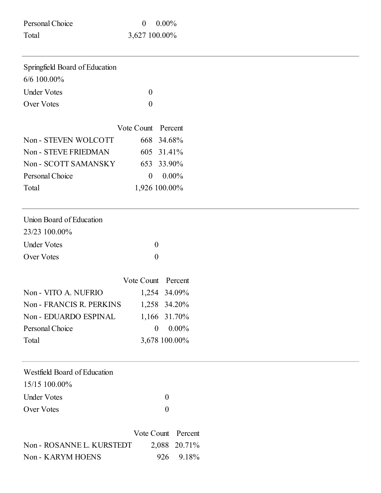| Personal Choice | $0.00\%$      |
|-----------------|---------------|
| Total           | 3,627 100.00% |

Non - KARYM HOENS 926 9.18%

| Springfield Board of Education |                  |              |
|--------------------------------|------------------|--------------|
| 6/6 100.00%                    |                  |              |
| <b>Under Votes</b>             | $\boldsymbol{0}$ |              |
| Over Votes                     | $\boldsymbol{0}$ |              |
|                                | Vote Count       | Percent      |
| Non - STEVEN WOLCOTT           | 668              | 34.68%       |
| Non - STEVE FRIEDMAN           | 605              | 31.41%       |
| Non - SCOTT SAMANSKY           | 653              | 33.90%       |
| Personal Choice                | $\boldsymbol{0}$ | $0.00\%$     |
| Total                          | 1,926 100.00%    |              |
| Union Board of Education       |                  |              |
| 23/23 100.00%                  |                  |              |
| <b>Under Votes</b>             | $\boldsymbol{0}$ |              |
| Over Votes                     | $\boldsymbol{0}$ |              |
|                                | Vote Count       | Percent      |
| Non - VITO A. NUFRIO           | 1,254 34.09%     |              |
| Non - FRANCIS R. PERKINS       | 1,258            | 34.20%       |
| Non - EDUARDO ESPINAL          | 1,166            | 31.70%       |
| Personal Choice                | $\boldsymbol{0}$ | $0.00\%$     |
| Total                          | 3,678 100.00%    |              |
| Westfield Board of Education   |                  |              |
| 15/15 100.00%                  |                  |              |
| <b>Under Votes</b>             | $\boldsymbol{0}$ |              |
| Over Votes                     | $\boldsymbol{0}$ |              |
|                                |                  |              |
|                                | Vote Count       | Percent      |
| Non - ROSANNE L. KURSTEDT      |                  | 2,088 20.71% |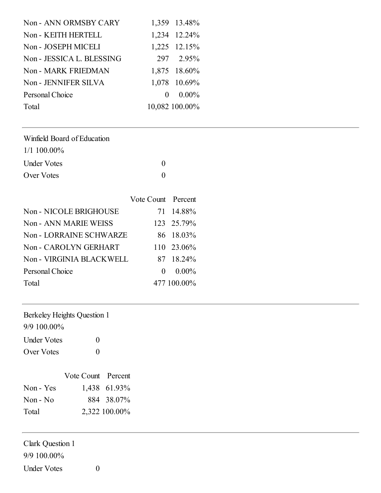| Non - ANN ORMSBY CARY      | 1,359 13.48%   |
|----------------------------|----------------|
| Non - KEITH HERTELL        | 1,234 12.24%   |
| Non - JOSEPH MICELI        | 1,225 12.15%   |
| Non - JESSICA L. BLESSING  | 297 2.95%      |
| <b>Non - MARK FRIEDMAN</b> | 1,875 18.60%   |
| Non - JENNIFER SILVA       | 1,078 10.69%   |
| Personal Choice            | $0.00\%$       |
| Total                      | 10,082 100.00% |

| $1/1$ 100.00%      |              |
|--------------------|--------------|
| <b>Under Votes</b> | $\mathbf{0}$ |
| Over Votes         | $\mathbf{0}$ |

|                              | Vote Count Percent |             |
|------------------------------|--------------------|-------------|
| Non - NICOLE BRIGHOUSE       |                    | 71 14.88%   |
| <b>Non - ANN MARIE WEISS</b> |                    | 123 25.79%  |
| Non - LORRAINE SCHWARZE      |                    | 86 18.03%   |
| Non - CAROLYN GERHART        |                    | 110 23.06%  |
| Non - VIRGINIA BLACKWELL     |                    | 87 18.24%   |
| Personal Choice              | $\Omega$           | $0.00\%$    |
| Total                        |                    | 477 100.00% |

| Berkeley Heights Question 1 |  |  |  |  |
|-----------------------------|--|--|--|--|
|-----------------------------|--|--|--|--|

9/9 100.00%

| <b>Under Votes</b> | $\theta$ |  |
|--------------------|----------|--|
| Over Votes         | $\theta$ |  |

|           | Vote Count Percent |               |
|-----------|--------------------|---------------|
| Non - Yes |                    | 1,438 61.93%  |
| $Non-No$  |                    | 884 38.07%    |
| Total     |                    | 2,322 100.00% |

Clark Question 1 9/9 100.00% Under Votes 0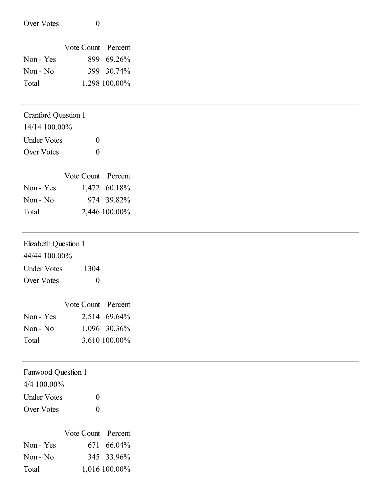| Over Votes                 | $\boldsymbol{0}$   |               |
|----------------------------|--------------------|---------------|
|                            |                    |               |
|                            | Vote Count Percent |               |
| Non - Yes                  |                    | 899 69.26%    |
| Non - No                   | 399                | 30.74%        |
| Total                      |                    | 1,298 100.00% |
| <b>Cranford Question 1</b> |                    |               |
| 14/14 100.00%              |                    |               |
| <b>Under Votes</b>         | $\boldsymbol{0}$   |               |
| Over Votes                 | $\boldsymbol{0}$   |               |
|                            | Vote Count Percent |               |
| Non - Yes                  |                    | 1,472 60.18%  |
| Non - No                   |                    | 974 39.82%    |
| Total                      |                    | 2,446 100.00% |
| Elizabeth Question 1       |                    |               |
| 44/44 100.00%              |                    |               |
| <b>Under Votes</b>         | 1304               |               |
| Over Votes                 | $\boldsymbol{0}$   |               |
|                            | Vote Count Percent |               |
| Non - Yes                  |                    | 2,514 69.64%  |
| Non - No                   |                    | 1,096 30.36%  |
| Total                      |                    | 3,610 100.00% |
| Fanwood Question 1         |                    |               |
| 4/4 100.00%                |                    |               |
| <b>Under Votes</b>         | $\boldsymbol{0}$   |               |

Over Votes 0

|           | Vote Count Percent |               |
|-----------|--------------------|---------------|
| Non - Yes |                    | 671 66.04%    |
| $Non-No$  |                    | 345 33.96%    |
| Total     |                    | 1,016 100.00% |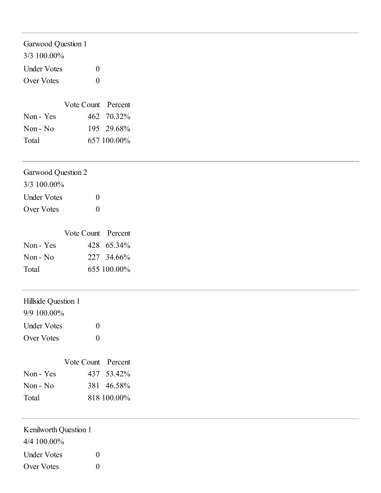| Garwood Question 1                   |                  |                    |
|--------------------------------------|------------------|--------------------|
| 3/3 100.00%                          |                  |                    |
| <b>Under Votes</b>                   | $\boldsymbol{0}$ |                    |
| Over Votes                           | $\boldsymbol{0}$ |                    |
|                                      |                  |                    |
|                                      |                  | Vote Count Percent |
| Non - Yes                            | 462              | 70.32%             |
| Non - No                             | 195              | 29.68%             |
| Total                                |                  | 657 100.00%        |
| Garwood Question 2                   |                  |                    |
| 3/3 100.00%                          |                  |                    |
| <b>Under Votes</b>                   | $\boldsymbol{0}$ |                    |
| Over Votes                           | $\boldsymbol{0}$ |                    |
|                                      |                  | Vote Count Percent |
| Non - Yes                            | 428              | 65.34%             |
| Non - No                             |                  | 227 34.66%         |
| Total                                |                  | 655 100.00%        |
| Hillside Question 1                  |                  |                    |
| 9/9 100.00%                          |                  |                    |
| <b>Under Votes</b>                   | $\boldsymbol{0}$ |                    |
| Over Votes                           | $\boldsymbol{0}$ |                    |
|                                      |                  | Vote Count Percent |
| Non - Yes                            | 437              | 53.42%             |
| Non - No                             | 381              | 46.58%             |
| Total                                |                  | 818 100.00%        |
| Kenilworth Question 1<br>4/4 100.00% |                  |                    |
| <b>Under Votes</b>                   | $\boldsymbol{0}$ |                    |
| Over Votes                           | $\boldsymbol{0}$ |                    |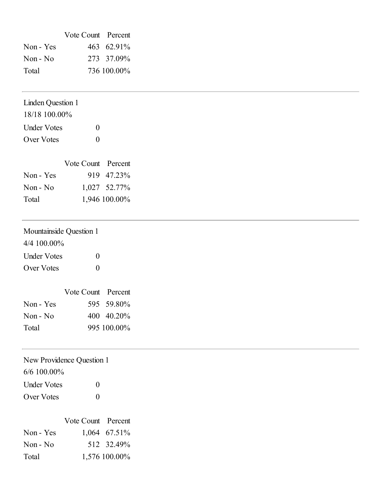|           | Vote Count Percent |             |
|-----------|--------------------|-------------|
| Non - Yes |                    | 463 62.91%  |
| $Non-No$  |                    | 273 37.09%  |
| Total     |                    | 736 100.00% |

# Linden Question 1 18/18 100.00% Under Votes 0 Over Votes 0

|           | Vote Count Percent |               |
|-----------|--------------------|---------------|
| Non - Yes |                    | 919 47.23%    |
| Non - No  |                    | 1,027 52.77%  |
| Total     |                    | 1,946 100.00% |

| Mountainside Question 1 |               |                           |
|-------------------------|---------------|---------------------------|
| $4/4$ 100.00%           |               |                           |
| Under Votes             | $\Omega$      |                           |
| Over Votes              | $\Omega$      |                           |
|                         |               |                           |
|                         | $V$ ote Count | $\mathbf{D}_{\mathbf{C}}$ |

|           | Vote Count Percent |             |
|-----------|--------------------|-------------|
| Non - Yes |                    | 595 59.80%  |
| $Non-No$  |                    | 400 40.20%  |
| Total     |                    | 995 100.00% |

# New Providence Question 1

6/6 100.00%

| <b>Under Votes</b> | $\mathbf{0}$ |
|--------------------|--------------|
| Over Votes         | $\theta$     |

|           | Vote Count Percent |                |
|-----------|--------------------|----------------|
| Non - Yes |                    | $1,064$ 67.51% |
| $Non-No$  |                    | 512 32.49%     |
| Total     |                    | 1,576 100.00%  |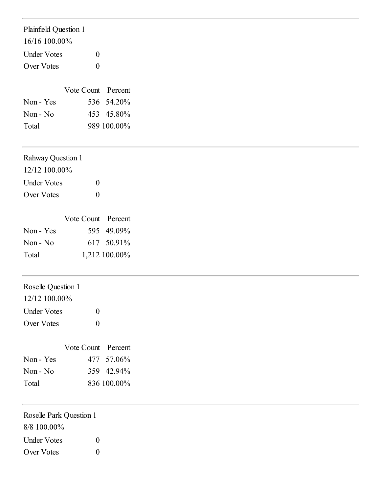| Plainfield Question 1    |                    |               |
|--------------------------|--------------------|---------------|
| 16/16 100.00%            |                    |               |
| <b>Under Votes</b>       | $\boldsymbol{0}$   |               |
| Over Votes               | $\boldsymbol{0}$   |               |
|                          |                    |               |
|                          | Vote Count Percent |               |
| Non - Yes                |                    | 536 54.20%    |
| Non - No                 |                    | 453 45.80%    |
| Total                    |                    | 989 100.00%   |
| <b>Rahway Question 1</b> |                    |               |
| 12/12 100.00%            |                    |               |
| <b>Under Votes</b>       | $\boldsymbol{0}$   |               |
| Over Votes               | $\boldsymbol{0}$   |               |
|                          |                    |               |
|                          | Vote Count         | Percent       |
| Non - Yes                |                    | 595 49.09%    |
| Non - No                 |                    | 617 50.91%    |
| Total                    |                    | 1,212 100.00% |
| Roselle Question 1       |                    |               |
| 12/12 100.00%            |                    |               |
| <b>Under Votes</b>       | $\theta$           |               |
| Over Votes               | $\boldsymbol{0}$   |               |
|                          | Vote Count Percent |               |
| Non - Yes                | 477                | 57.06%        |
| Non - No                 |                    | 359 42.94%    |
| Total                    |                    | 836 100.00%   |
| Roselle Park Question 1  |                    |               |
| 8/8 100.00%              |                    |               |

Under Votes 0 Over Votes 0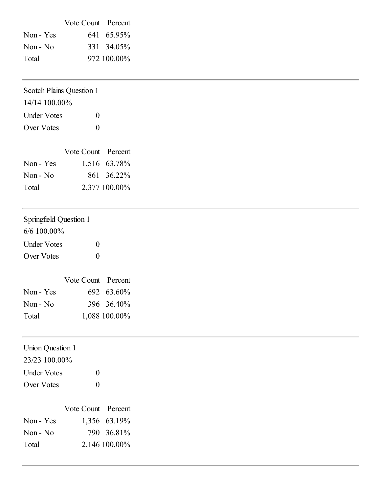|           | Vote Count Percent |             |
|-----------|--------------------|-------------|
| Non - Yes |                    | 641 65.95%  |
| Non - No  |                    | 331 34.05%  |
| Total     |                    | 972 100.00% |

| <b>Scotch Plains Question 1</b> |                  |                    |
|---------------------------------|------------------|--------------------|
| 14/14 100.00%                   |                  |                    |
| <b>Under Votes</b>              | $\boldsymbol{0}$ |                    |
| Over Votes                      | $\boldsymbol{0}$ |                    |
|                                 |                  | Vote Count Percent |
| Non - Yes                       |                  | 1,516 63.78%       |
| Non - No                        |                  | 861 36.22%         |
| Total                           |                  | 2,377 100.00%      |
| Springfield Question 1          |                  |                    |
| 6/6 100.00%                     |                  |                    |
| <b>Under Votes</b>              | $\boldsymbol{0}$ |                    |
| Over Votes                      | $\boldsymbol{0}$ |                    |
|                                 |                  | Vote Count Percent |
| Non - Yes                       |                  | 692 63.60%         |
| Non - No                        |                  | 396 36.40%         |
| Total                           |                  | 1,088 100.00%      |
| <b>Union Question 1</b>         |                  |                    |
| 23/23 100.00%                   |                  |                    |
| <b>Under Votes</b>              | $\boldsymbol{0}$ |                    |
| Over Votes                      | $\boldsymbol{0}$ |                    |
|                                 |                  | Vote Count Percent |

|           | $\cdots$ | . . UI UU I IL |
|-----------|----------|----------------|
| Non - Yes |          | 1,356 63.19%   |
| $Non-No$  |          | 790 36.81%     |
| Total     |          | 2,146 100.00%  |